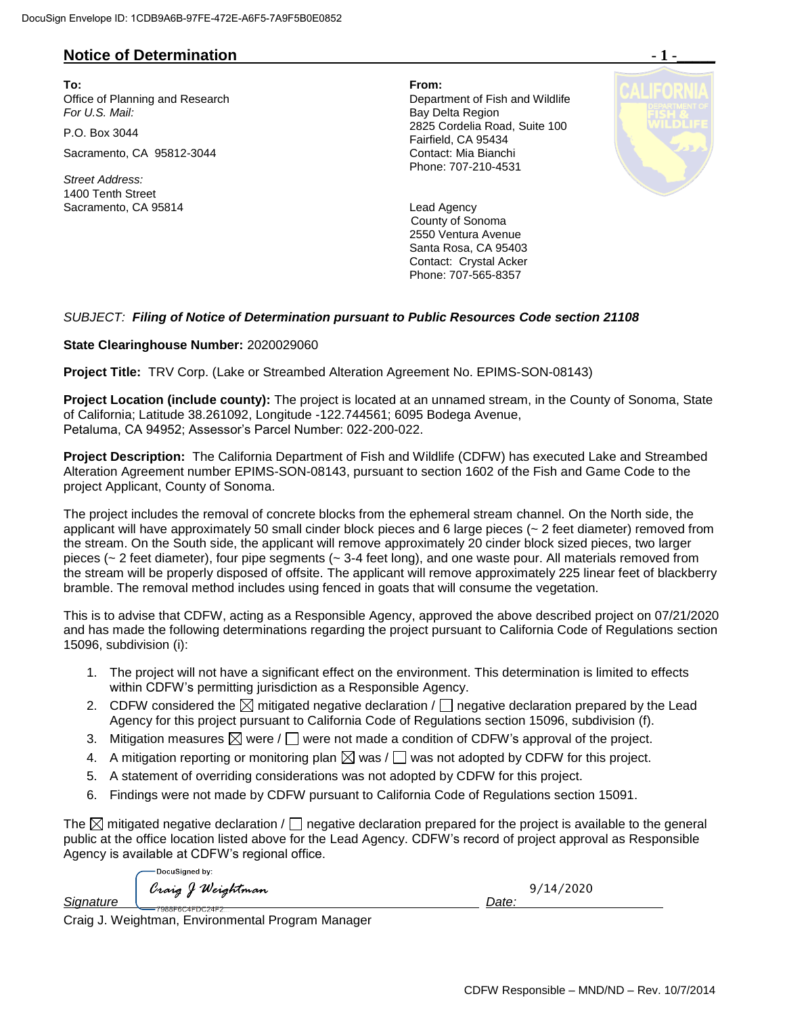## **Notice of Determination**

**To: From:**  Office of Planning and Research **Department of Fish and Wildlife**<br>
For U.S. Mail: **Department of Fish and Wildlife** 

Sacramento, CA 95812-3044 Contact: Mia Bianchi

*Street Address:* 1400 Tenth Street Sacramento, CA 95814 **Lead Agency** 

**Bay Delta Region** P.O. Box 3044 2825 Cordelia Road, Suite 100 Fairfield, CA 95434 Phone: 707-210-4531



**County of Sonoma** 2550 Ventura Avenue Santa Rosa, CA 95403 Contact: Crystal Acker Phone: 707-565-8357

### *SUBJECT: Filing of Notice of Determination pursuant to Public Resources Code section 21108*

#### **State Clearinghouse Number:** 2020029060

**Project Title:** TRV Corp. (Lake or Streambed Alteration Agreement No. EPIMS-SON-08143)

**Project Location (include county):** The project is located at an unnamed stream, in the County of Sonoma, State of California; Latitude 38.261092, Longitude -122.744561; 6095 Bodega Avenue, Petaluma, CA 94952; Assessor's Parcel Number: 022-200-022.

**Project Description:** The California Department of Fish and Wildlife (CDFW) has executed Lake and Streambed Alteration Agreement number EPIMS-SON-08143, pursuant to section 1602 of the Fish and Game Code to the project Applicant, County of Sonoma.

The project includes the removal of concrete blocks from the ephemeral stream channel. On the North side, the applicant will have approximately 50 small cinder block pieces and 6 large pieces (~ 2 feet diameter) removed from the stream. On the South side, the applicant will remove approximately 20 cinder block sized pieces, two larger pieces (~ 2 feet diameter), four pipe segments (~ 3-4 feet long), and one waste pour. All materials removed from the stream will be properly disposed of offsite. The applicant will remove approximately 225 linear feet of blackberry bramble. The removal method includes using fenced in goats that will consume the vegetation.

This is to advise that CDFW, acting as a Responsible Agency, approved the above described project on 07/21/2020 and has made the following determinations regarding the project pursuant to California Code of Regulations section 15096, subdivision (i):

- 1. The project will not have a significant effect on the environment. This determination is limited to effects within CDFW's permitting jurisdiction as a Responsible Agency.
- 2. CDFW considered the  $\boxtimes$  mitigated negative declaration /  $\Box$  negative declaration prepared by the Lead Agency for this project pursuant to California Code of Regulations section 15096, subdivision (f).
- 3. Mitigation measures  $\boxtimes$  were /  $\Box$  were not made a condition of CDFW's approval of the project.
- 4. A mitigation reporting or monitoring plan  $\boxtimes$  was  $/\Box$  was not adopted by CDFW for this project.
- 5. A statement of overriding considerations was not adopted by CDFW for this project.
- 6. Findings were not made by CDFW pursuant to California Code of Regulations section 15091.

The  $\boxtimes$  mitigated negative declaration /  $\Box$  negative declaration prepared for the project is available to the general public at the office location listed above for the Lead Agency. CDFW's record of project approval as Responsible Agency is available at CDFW's regional office.

DocuSianed by: *Signature* Craig J Weightman<br>Signature Date: 9/14/2020

Craig J. Weightman, Environmental Program Manager